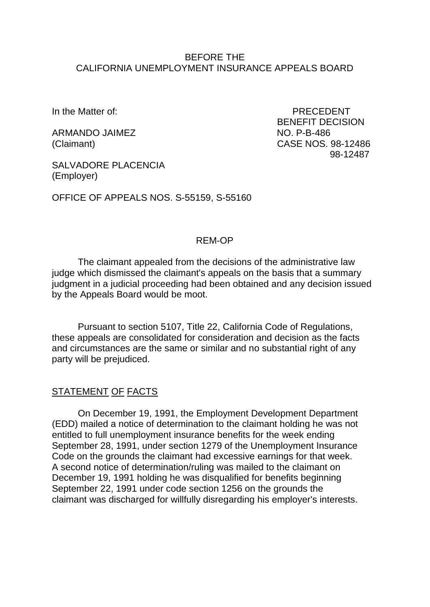### BEFORE THE CALIFORNIA UNEMPLOYMENT INSURANCE APPEALS BOARD

ARMANDO JAIMEZ NO. P-B-486

In the Matter of: PRECEDENT BENEFIT DECISION (Claimant) CASE NOS. 98-12486 98-12487

SALVADORE PLACENCIA (Employer)

OFFICE OF APPEALS NOS. S-55159, S-55160

### REM-OP

The claimant appealed from the decisions of the administrative law judge which dismissed the claimant's appeals on the basis that a summary judgment in a judicial proceeding had been obtained and any decision issued by the Appeals Board would be moot.

Pursuant to section 5107, Title 22, California Code of Regulations, these appeals are consolidated for consideration and decision as the facts and circumstances are the same or similar and no substantial right of any party will be prejudiced.

### STATEMENT OF FACTS

On December 19, 1991, the Employment Development Department (EDD) mailed a notice of determination to the claimant holding he was not entitled to full unemployment insurance benefits for the week ending September 28, 1991, under section 1279 of the Unemployment Insurance Code on the grounds the claimant had excessive earnings for that week. A second notice of determination/ruling was mailed to the claimant on December 19, 1991 holding he was disqualified for benefits beginning September 22, 1991 under code section 1256 on the grounds the claimant was discharged for willfully disregarding his employer's interests.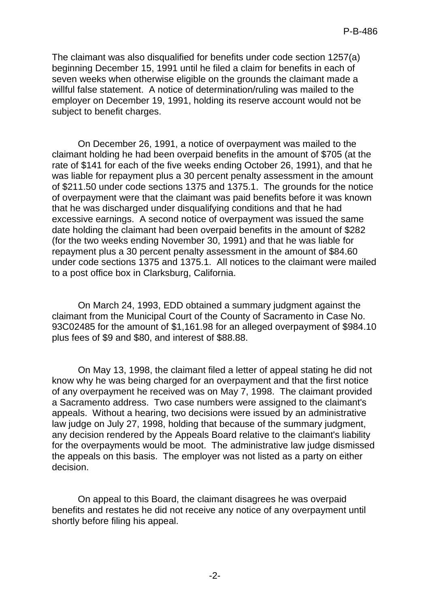The claimant was also disqualified for benefits under code section 1257(a) beginning December 15, 1991 until he filed a claim for benefits in each of seven weeks when otherwise eligible on the grounds the claimant made a willful false statement. A notice of determination/ruling was mailed to the employer on December 19, 1991, holding its reserve account would not be subject to benefit charges.

On December 26, 1991, a notice of overpayment was mailed to the claimant holding he had been overpaid benefits in the amount of \$705 (at the rate of \$141 for each of the five weeks ending October 26, 1991), and that he was liable for repayment plus a 30 percent penalty assessment in the amount of \$211.50 under code sections 1375 and 1375.1. The grounds for the notice of overpayment were that the claimant was paid benefits before it was known that he was discharged under disqualifying conditions and that he had excessive earnings. A second notice of overpayment was issued the same date holding the claimant had been overpaid benefits in the amount of \$282 (for the two weeks ending November 30, 1991) and that he was liable for repayment plus a 30 percent penalty assessment in the amount of \$84.60 under code sections 1375 and 1375.1. All notices to the claimant were mailed to a post office box in Clarksburg, California.

On March 24, 1993, EDD obtained a summary judgment against the claimant from the Municipal Court of the County of Sacramento in Case No. 93C02485 for the amount of \$1,161.98 for an alleged overpayment of \$984.10 plus fees of \$9 and \$80, and interest of \$88.88.

On May 13, 1998, the claimant filed a letter of appeal stating he did not know why he was being charged for an overpayment and that the first notice of any overpayment he received was on May 7, 1998. The claimant provided a Sacramento address. Two case numbers were assigned to the claimant's appeals. Without a hearing, two decisions were issued by an administrative law judge on July 27, 1998, holding that because of the summary judgment, any decision rendered by the Appeals Board relative to the claimant's liability for the overpayments would be moot. The administrative law judge dismissed the appeals on this basis. The employer was not listed as a party on either decision.

On appeal to this Board, the claimant disagrees he was overpaid benefits and restates he did not receive any notice of any overpayment until shortly before filing his appeal.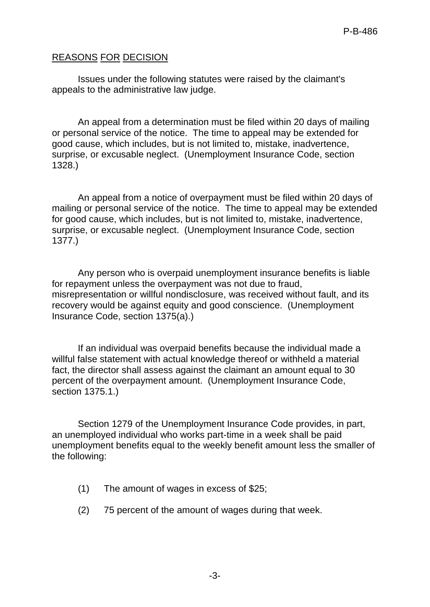# REASONS FOR DECISION

Issues under the following statutes were raised by the claimant's appeals to the administrative law judge.

An appeal from a determination must be filed within 20 days of mailing or personal service of the notice. The time to appeal may be extended for good cause, which includes, but is not limited to, mistake, inadvertence, surprise, or excusable neglect. (Unemployment Insurance Code, section 1328.)

An appeal from a notice of overpayment must be filed within 20 days of mailing or personal service of the notice. The time to appeal may be extended for good cause, which includes, but is not limited to, mistake, inadvertence, surprise, or excusable neglect. (Unemployment Insurance Code, section 1377.)

Any person who is overpaid unemployment insurance benefits is liable for repayment unless the overpayment was not due to fraud, misrepresentation or willful nondisclosure, was received without fault, and its recovery would be against equity and good conscience. (Unemployment Insurance Code, section 1375(a).)

If an individual was overpaid benefits because the individual made a willful false statement with actual knowledge thereof or withheld a material fact, the director shall assess against the claimant an amount equal to 30 percent of the overpayment amount. (Unemployment Insurance Code, section 1375.1.)

Section 1279 of the Unemployment Insurance Code provides, in part, an unemployed individual who works part-time in a week shall be paid unemployment benefits equal to the weekly benefit amount less the smaller of the following:

- (1) The amount of wages in excess of \$25;
- (2) 75 percent of the amount of wages during that week.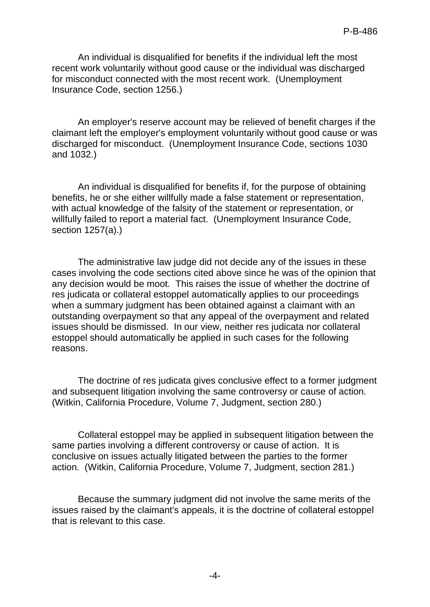An individual is disqualified for benefits if the individual left the most recent work voluntarily without good cause or the individual was discharged for misconduct connected with the most recent work. (Unemployment Insurance Code, section 1256.)

An employer's reserve account may be relieved of benefit charges if the claimant left the employer's employment voluntarily without good cause or was discharged for misconduct. (Unemployment Insurance Code, sections 1030 and 1032.)

An individual is disqualified for benefits if, for the purpose of obtaining benefits, he or she either willfully made a false statement or representation, with actual knowledge of the falsity of the statement or representation, or willfully failed to report a material fact. (Unemployment Insurance Code, section 1257(a).)

The administrative law judge did not decide any of the issues in these cases involving the code sections cited above since he was of the opinion that any decision would be moot. This raises the issue of whether the doctrine of res judicata or collateral estoppel automatically applies to our proceedings when a summary judgment has been obtained against a claimant with an outstanding overpayment so that any appeal of the overpayment and related issues should be dismissed. In our view, neither res judicata nor collateral estoppel should automatically be applied in such cases for the following reasons.

The doctrine of res judicata gives conclusive effect to a former judgment and subsequent litigation involving the same controversy or cause of action. (Witkin, California Procedure, Volume 7, Judgment, section 280.)

Collateral estoppel may be applied in subsequent litigation between the same parties involving a different controversy or cause of action. It is conclusive on issues actually litigated between the parties to the former action. (Witkin, California Procedure, Volume 7, Judgment, section 281.)

Because the summary judgment did not involve the same merits of the issues raised by the claimant's appeals, it is the doctrine of collateral estoppel that is relevant to this case.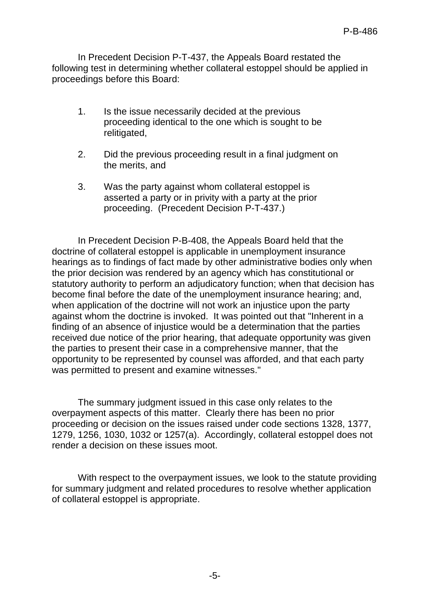In Precedent Decision P-T-437, the Appeals Board restated the following test in determining whether collateral estoppel should be applied in proceedings before this Board:

- 1. Is the issue necessarily decided at the previous proceeding identical to the one which is sought to be relitigated,
- 2. Did the previous proceeding result in a final judgment on the merits, and
- 3. Was the party against whom collateral estoppel is asserted a party or in privity with a party at the prior proceeding. (Precedent Decision P-T-437.)

In Precedent Decision P-B-408, the Appeals Board held that the doctrine of collateral estoppel is applicable in unemployment insurance hearings as to findings of fact made by other administrative bodies only when the prior decision was rendered by an agency which has constitutional or statutory authority to perform an adjudicatory function; when that decision has become final before the date of the unemployment insurance hearing; and, when application of the doctrine will not work an injustice upon the party against whom the doctrine is invoked. It was pointed out that "Inherent in a finding of an absence of injustice would be a determination that the parties received due notice of the prior hearing, that adequate opportunity was given the parties to present their case in a comprehensive manner, that the opportunity to be represented by counsel was afforded, and that each party was permitted to present and examine witnesses."

The summary judgment issued in this case only relates to the overpayment aspects of this matter. Clearly there has been no prior proceeding or decision on the issues raised under code sections 1328, 1377, 1279, 1256, 1030, 1032 or 1257(a). Accordingly, collateral estoppel does not render a decision on these issues moot.

With respect to the overpayment issues, we look to the statute providing for summary judgment and related procedures to resolve whether application of collateral estoppel is appropriate.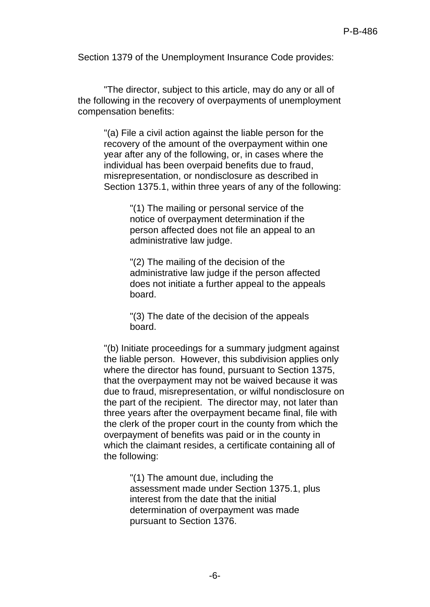Section 1379 of the Unemployment Insurance Code provides:

"The director, subject to this article, may do any or all of the following in the recovery of overpayments of unemployment compensation benefits:

"(a) File a civil action against the liable person for the recovery of the amount of the overpayment within one year after any of the following, or, in cases where the individual has been overpaid benefits due to fraud, misrepresentation, or nondisclosure as described in Section 1375.1, within three years of any of the following:

> "(1) The mailing or personal service of the notice of overpayment determination if the person affected does not file an appeal to an administrative law judge.

"(2) The mailing of the decision of the administrative law judge if the person affected does not initiate a further appeal to the appeals board.

"(3) The date of the decision of the appeals board.

"(b) Initiate proceedings for a summary judgment against the liable person. However, this subdivision applies only where the director has found, pursuant to Section 1375, that the overpayment may not be waived because it was due to fraud, misrepresentation, or wilful nondisclosure on the part of the recipient. The director may, not later than three years after the overpayment became final, file with the clerk of the proper court in the county from which the overpayment of benefits was paid or in the county in which the claimant resides, a certificate containing all of the following:

> "(1) The amount due, including the assessment made under Section 1375.1, plus interest from the date that the initial determination of overpayment was made pursuant to Section 1376.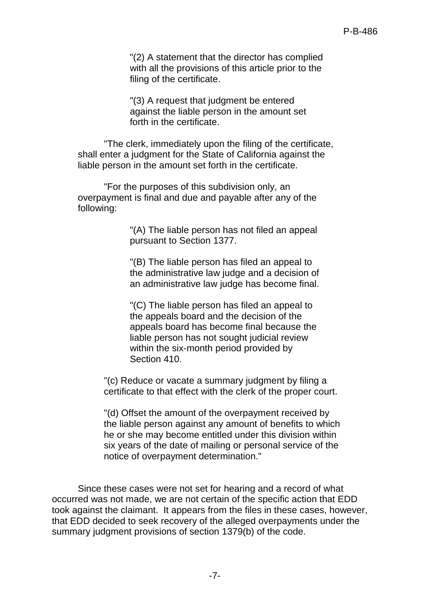"(2) A statement that the director has complied with all the provisions of this article prior to the filing of the certificate.

"(3) A request that judgment be entered against the liable person in the amount set forth in the certificate.

"The clerk, immediately upon the filing of the certificate, shall enter a judgment for the State of California against the liable person in the amount set forth in the certificate.

"For the purposes of this subdivision only, an overpayment is final and due and payable after any of the following:

> "(A) The liable person has not filed an appeal pursuant to Section 1377.

"(B) The liable person has filed an appeal to the administrative law judge and a decision of an administrative law judge has become final.

"(C) The liable person has filed an appeal to the appeals board and the decision of the appeals board has become final because the liable person has not sought judicial review within the six-month period provided by Section 410.

"(c) Reduce or vacate a summary judgment by filing a certificate to that effect with the clerk of the proper court.

"(d) Offset the amount of the overpayment received by the liable person against any amount of benefits to which he or she may become entitled under this division within six years of the date of mailing or personal service of the notice of overpayment determination."

Since these cases were not set for hearing and a record of what occurred was not made, we are not certain of the specific action that EDD took against the claimant. It appears from the files in these cases, however, that EDD decided to seek recovery of the alleged overpayments under the summary judgment provisions of section 1379(b) of the code.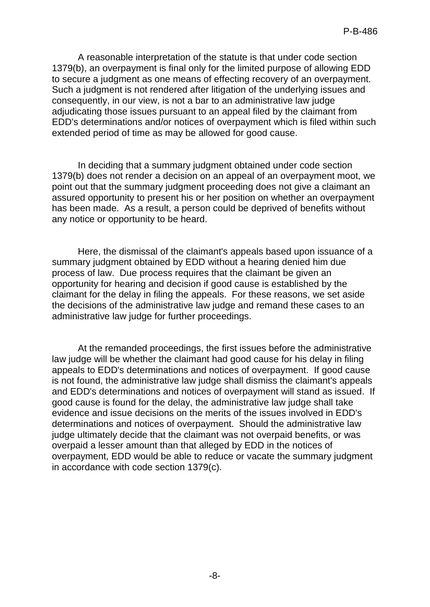A reasonable interpretation of the statute is that under code section 1379(b), an overpayment is final only for the limited purpose of allowing EDD to secure a judgment as one means of effecting recovery of an overpayment. Such a judgment is not rendered after litigation of the underlying issues and consequently, in our view, is not a bar to an administrative law judge adjudicating those issues pursuant to an appeal filed by the claimant from EDD's determinations and/or notices of overpayment which is filed within such extended period of time as may be allowed for good cause.

In deciding that a summary judgment obtained under code section 1379(b) does not render a decision on an appeal of an overpayment moot, we point out that the summary judgment proceeding does not give a claimant an assured opportunity to present his or her position on whether an overpayment has been made. As a result, a person could be deprived of benefits without any notice or opportunity to be heard.

Here, the dismissal of the claimant's appeals based upon issuance of a summary judgment obtained by EDD without a hearing denied him due process of law. Due process requires that the claimant be given an opportunity for hearing and decision if good cause is established by the claimant for the delay in filing the appeals. For these reasons, we set aside the decisions of the administrative law judge and remand these cases to an administrative law judge for further proceedings.

At the remanded proceedings, the first issues before the administrative law judge will be whether the claimant had good cause for his delay in filing appeals to EDD's determinations and notices of overpayment. If good cause is not found, the administrative law judge shall dismiss the claimant's appeals and EDD's determinations and notices of overpayment will stand as issued. If good cause is found for the delay, the administrative law judge shall take evidence and issue decisions on the merits of the issues involved in EDD's determinations and notices of overpayment. Should the administrative law judge ultimately decide that the claimant was not overpaid benefits, or was overpaid a lesser amount than that alleged by EDD in the notices of overpayment, EDD would be able to reduce or vacate the summary judgment in accordance with code section 1379(c).